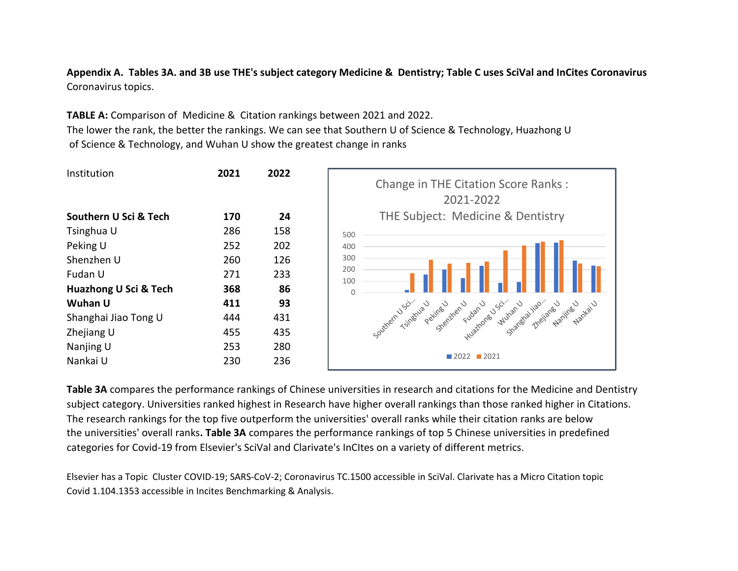**Appendix A. Tables 3A. and 3B use THE's subject category Medicine & Dentistry; Table C uses SciVal and InCites Coronavirus** Coronavirus topics.

**TABLE A:** Comparison of Medicine & Citation rankings between 2021 and 2022. The lower the rank, the better the rankings. We can see that Southern U of Science & Technology, Huazhong U of Science & Technology, and Wuhan U show the greatest change in ranks



**Table 3A** compares the performance rankings of Chinese universities in research and citations for the Medicine and Dentistry subject category. Universities ranked highest in Research have higher overall rankings than those ranked higher in Citations. The research rankings for the top five outperform the universities' overall ranks while their citation ranks are below the universities' overall ranks**. Table 3A** compares the performance rankings of top 5 Chinese universities in predefined categories for Covid-19 from Elsevier's SciVal and Clarivate's InCItes on a variety of different metrics.

Elsevier has a Topic Cluster COVID-19; SARS-CoV-2; Coronavirus TC.1500 accessible in SciVal. Clarivate has a Micro Citation topic Covid 1.104.1353 accessible in Incites Benchmarking & Analysis.